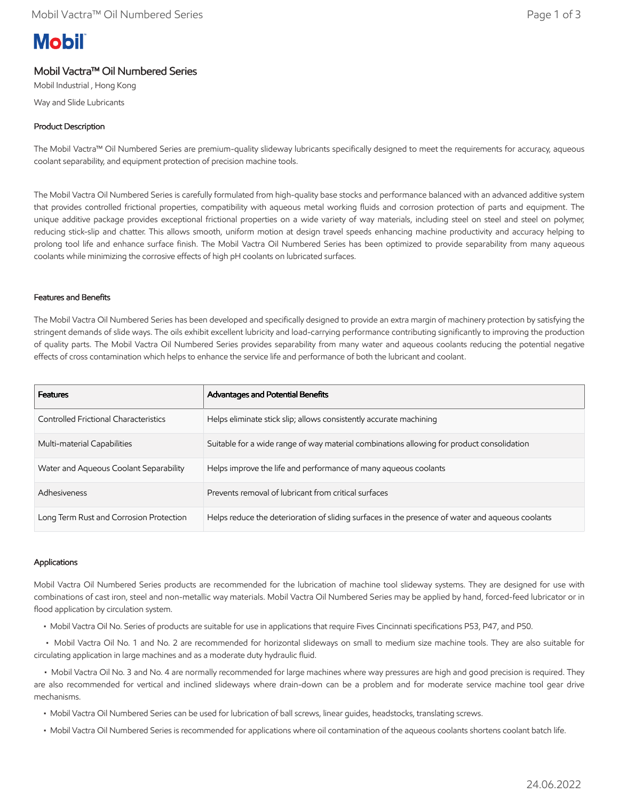# **Mobil**

## Mobil Vactra™ Oil Numbered Series

Mobil Industrial , Hong Kong Way and Slide Lubricants

### Product Description

The Mobil Vactra™ Oil Numbered Series are premium-quality slideway lubricants specifically designed to meet the requirements for accuracy, aqueous coolant separability, and equipment protection of precision machine tools.

The Mobil Vactra Oil Numbered Series is carefully formulated from high-quality base stocks and performance balanced with an advanced additive system that provides controlled frictional properties, compatibility with aqueous metal working fluids and corrosion protection of parts and equipment. The unique additive package provides exceptional frictional properties on a wide variety of way materials, including steel on steel and steel on polymer, reducing stick-slip and chatter. This allows smooth, uniform motion at design travel speeds enhancing machine productivity and accuracy helping to prolong tool life and enhance surface finish. The Mobil Vactra Oil Numbered Series has been optimized to provide separability from many aqueous coolants while minimizing the corrosive effects of high pH coolants on lubricated surfaces.

#### Features and Benefits

The Mobil Vactra Oil Numbered Series has been developed and specifically designed to provide an extra margin of machinery protection by satisfying the stringent demands of slide ways. The oils exhibit excellent lubricity and load-carrying performance contributing significantly to improving the production of quality parts. The Mobil Vactra Oil Numbered Series provides separability from many water and aqueous coolants reducing the potential negative effects of cross contamination which helps to enhance the service life and performance of both the lubricant and coolant.

| <b>Features</b>                         | <b>Advantages and Potential Benefits</b>                                                         |
|-----------------------------------------|--------------------------------------------------------------------------------------------------|
| Controlled Frictional Characteristics   | Helps eliminate stick slip; allows consistently accurate machining                               |
| Multi-material Capabilities             | Suitable for a wide range of way material combinations allowing for product consolidation        |
| Water and Aqueous Coolant Separability  | Helps improve the life and performance of many aqueous coolants                                  |
| Adhesiveness                            | Prevents removal of lubricant from critical surfaces                                             |
| Long Term Rust and Corrosion Protection | Helps reduce the deterioration of sliding surfaces in the presence of water and aqueous coolants |

#### Applications

Mobil Vactra Oil Numbered Series products are recommended for the lubrication of machine tool slideway systems. They are designed for use with combinations of cast iron, steel and non-metallic way materials. Mobil Vactra Oil Numbered Series may be applied by hand, forced-feed lubricator or in flood application by circulation system.

• Mobil Vactra Oil No. Series of products are suitable for use in applications that require Fives Cincinnati specifications P53, P47, and P50.

 • Mobil Vactra Oil No. 1 and No. 2 are recommended for horizontal slideways on small to medium size machine tools. They are also suitable for circulating application in large machines and as a moderate duty hydraulic fluid.

 • Mobil Vactra Oil No. 3 and No. 4 are normally recommended for large machines where way pressures are high and good precision is required. They are also recommended for vertical and inclined slideways where drain-down can be a problem and for moderate service machine tool gear drive mechanisms.

- Mobil Vactra Oil Numbered Series can be used for lubrication of ball screws, linear guides, headstocks, translating screws.
- Mobil Vactra Oil Numbered Series is recommended for applications where oil contamination of the aqueous coolants shortens coolant batch life.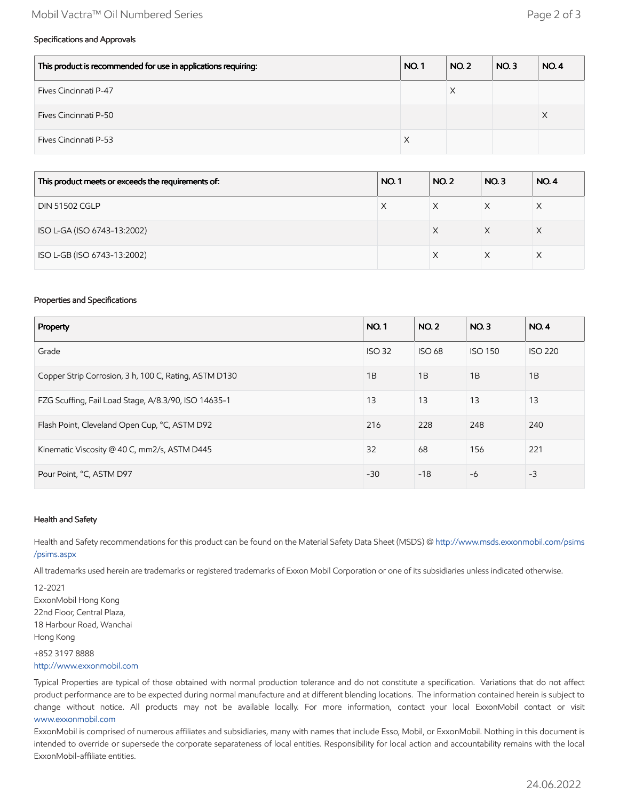#### Mobil Vactra™ Oil Numbered Series Page 2 of 3

#### Specifications and Approvals

| This product is recommended for use in applications requiring: | <b>NO.1</b> | <b>NO. 2</b> | NO.3 | NO.4 |
|----------------------------------------------------------------|-------------|--------------|------|------|
| Fives Cincinnati P-47                                          |             | ⌒            |      |      |
| Fives Cincinnati P-50                                          |             |              |      | х    |
| Fives Cincinnati P-53                                          | X           |              |      |      |

| This product meets or exceeds the requirements of: | <b>NO.1</b> | <b>NO.2</b> | NO.3 | <b>NO.4</b> |
|----------------------------------------------------|-------------|-------------|------|-------------|
| <b>DIN 51502 CGLP</b>                              | X           |             |      |             |
| ISO L-GA (ISO 6743-13:2002)                        |             | X           | X    | X           |
| ISO L-GB (ISO 6743-13:2002)                        |             |             |      |             |

#### Properties and Specifications

| Property                                              |       | <b>NO.2</b>   | NO.3           | <b>NO.4</b>    |
|-------------------------------------------------------|-------|---------------|----------------|----------------|
| Grade                                                 |       | <b>ISO 68</b> | <b>ISO 150</b> | <b>ISO 220</b> |
| Copper Strip Corrosion, 3 h, 100 C, Rating, ASTM D130 | 1B    | 1B            | 1B             | 1B             |
| FZG Scuffing, Fail Load Stage, A/8.3/90, ISO 14635-1  | 13    | 13            | 13             | 13             |
| Flash Point, Cleveland Open Cup, °C, ASTM D92         | 216   | 228           | 248            | 240            |
| Kinematic Viscosity @ 40 C, mm2/s, ASTM D445          | 32    | 68            | 156            | 221            |
| Pour Point, °C, ASTM D97                              | $-30$ | $-18$         | $-6$           | $-3$           |

#### Health and Safety

Health and Safety recommendations for this product can be found on the Material Safety Data Sheet (MSDS) @ [http://www.msds.exxonmobil.com/psims](http://www.msds.exxonmobil.com/psims/psims.aspx) /psims.aspx

All trademarks used herein are trademarks or registered trademarks of Exxon Mobil Corporation or one of its subsidiaries unless indicated otherwise.

12-2021 ExxonMobil Hong Kong 22nd Floor, Central Plaza, 18 Harbour Road, Wanchai Hong Kong

+852 3197 8888 [http://www.exxonmobil.com](http://www.exxonmobil.com/)

Typical Properties are typical of those obtained with normal production tolerance and do not constitute a specification. Variations that do not affect product performance are to be expected during normal manufacture and at different blending locations. The information contained herein is subject to change without notice. All products may not be available locally. For more information, contact your local ExxonMobil contact or visit [www.exxonmobil.com](http://www.exxonmobil.com/)

ExxonMobil is comprised of numerous affiliates and subsidiaries, many with names that include Esso, Mobil, or ExxonMobil. Nothing in this document is intended to override or supersede the corporate separateness of local entities. Responsibility for local action and accountability remains with the local ExxonMobil-affiliate entities.